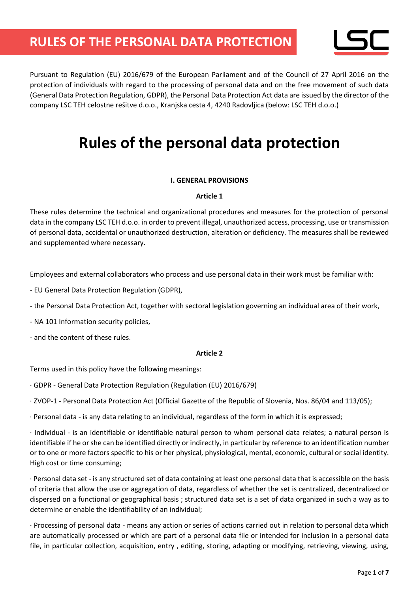

Pursuant to Regulation (EU) 2016/679 of the European Parliament and of the Council of 27 April 2016 on the protection of individuals with regard to the processing of personal data and on the free movement of such data (General Data Protection Regulation, GDPR), the Personal Data Protection Act data are issued by the director of the company LSC TEH celostne rešitve d.o.o., Kranjska cesta 4, 4240 Radovljica (below: LSC TEH d.o.o.)

# **Rules of the personal data protection**

### **I. GENERAL PROVISIONS**

#### **Article 1**

These rules determine the technical and organizational procedures and measures for the protection of personal data in the company LSC TEH d.o.o. in order to prevent illegal, unauthorized access, processing, use or transmission of personal data, accidental or unauthorized destruction, alteration or deficiency. The measures shall be reviewed and supplemented where necessary.

Employees and external collaborators who process and use personal data in their work must be familiar with:

- EU General Data Protection Regulation (GDPR),
- the Personal Data Protection Act, together with sectoral legislation governing an individual area of their work,
- NA 101 Information security policies,
- and the content of these rules.

#### **Article 2**

Terms used in this policy have the following meanings:

· GDPR - General Data Protection Regulation (Regulation (EU) 2016/679)

· ZVOP-1 - Personal Data Protection Act (Official Gazette of the Republic of Slovenia, Nos. 86/04 and 113/05);

· Personal data - is any data relating to an individual, regardless of the form in which it is expressed;

· Individual - is an identifiable or identifiable natural person to whom personal data relates; a natural person is identifiable if he or she can be identified directly or indirectly, in particular by reference to an identification number or to one or more factors specific to his or her physical, physiological, mental, economic, cultural or social identity. High cost or time consuming;

· Personal data set - is any structured set of data containing at least one personal data that is accessible on the basis of criteria that allow the use or aggregation of data, regardless of whether the set is centralized, decentralized or dispersed on a functional or geographical basis ; structured data set is a set of data organized in such a way as to determine or enable the identifiability of an individual;

· Processing of personal data - means any action or series of actions carried out in relation to personal data which are automatically processed or which are part of a personal data file or intended for inclusion in a personal data file, in particular collection, acquisition, entry , editing, storing, adapting or modifying, retrieving, viewing, using,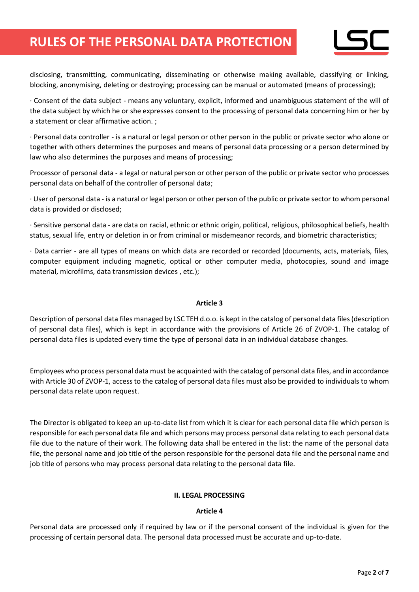

disclosing, transmitting, communicating, disseminating or otherwise making available, classifying or linking, blocking, anonymising, deleting or destroying; processing can be manual or automated (means of processing);

· Consent of the data subject - means any voluntary, explicit, informed and unambiguous statement of the will of the data subject by which he or she expresses consent to the processing of personal data concerning him or her by a statement or clear affirmative action. ;

· Personal data controller - is a natural or legal person or other person in the public or private sector who alone or together with others determines the purposes and means of personal data processing or a person determined by law who also determines the purposes and means of processing;

Processor of personal data - a legal or natural person or other person of the public or private sector who processes personal data on behalf of the controller of personal data;

· User of personal data - is a natural or legal person or other person of the public or private sector to whom personal data is provided or disclosed;

· Sensitive personal data - are data on racial, ethnic or ethnic origin, political, religious, philosophical beliefs, health status, sexual life, entry or deletion in or from criminal or misdemeanor records, and biometric characteristics;

· Data carrier - are all types of means on which data are recorded or recorded (documents, acts, materials, files, computer equipment including magnetic, optical or other computer media, photocopies, sound and image material, microfilms, data transmission devices , etc.);

#### **Article 3**

Description of personal data files managed by LSC TEH d.o.o. is kept in the catalog of personal data files (description of personal data files), which is kept in accordance with the provisions of Article 26 of ZVOP-1. The catalog of personal data files is updated every time the type of personal data in an individual database changes.

Employees who process personal data must be acquainted with the catalog of personal data files, and in accordance with Article 30 of ZVOP-1, access to the catalog of personal data files must also be provided to individuals to whom personal data relate upon request.

The Director is obligated to keep an up-to-date list from which it is clear for each personal data file which person is responsible for each personal data file and which persons may process personal data relating to each personal data file due to the nature of their work. The following data shall be entered in the list: the name of the personal data file, the personal name and job title of the person responsible for the personal data file and the personal name and job title of persons who may process personal data relating to the personal data file.

#### **II. LEGAL PROCESSING**

#### **Article 4**

Personal data are processed only if required by law or if the personal consent of the individual is given for the processing of certain personal data. The personal data processed must be accurate and up-to-date.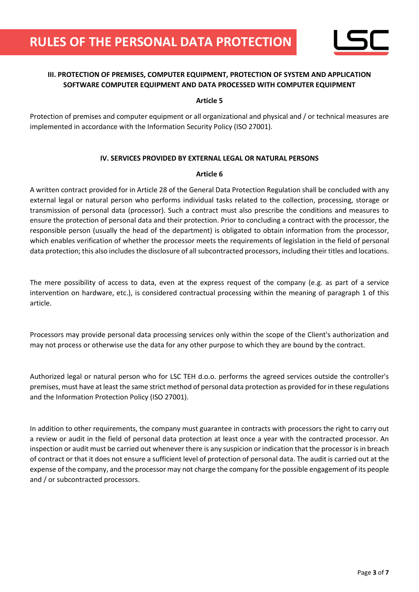

# **III. PROTECTION OF PREMISES, COMPUTER EQUIPMENT, PROTECTION OF SYSTEM AND APPLICATION SOFTWARE COMPUTER EQUIPMENT AND DATA PROCESSED WITH COMPUTER EQUIPMENT**

#### **Article 5**

Protection of premises and computer equipment or all organizational and physical and / or technical measures are implemented in accordance with the Information Security Policy (ISO 27001).

## **IV. SERVICES PROVIDED BY EXTERNAL LEGAL OR NATURAL PERSONS**

#### **Article 6**

A written contract provided for in Article 28 of the General Data Protection Regulation shall be concluded with any external legal or natural person who performs individual tasks related to the collection, processing, storage or transmission of personal data (processor). Such a contract must also prescribe the conditions and measures to ensure the protection of personal data and their protection. Prior to concluding a contract with the processor, the responsible person (usually the head of the department) is obligated to obtain information from the processor, which enables verification of whether the processor meets the requirements of legislation in the field of personal data protection; this also includes the disclosure of all subcontracted processors, including their titles and locations.

The mere possibility of access to data, even at the express request of the company (e.g. as part of a service intervention on hardware, etc.), is considered contractual processing within the meaning of paragraph 1 of this article.

Processors may provide personal data processing services only within the scope of the Client's authorization and may not process or otherwise use the data for any other purpose to which they are bound by the contract.

Authorized legal or natural person who for LSC TEH d.o.o. performs the agreed services outside the controller's premises, must have at least the same strict method of personal data protection as provided for in these regulations and the Information Protection Policy (ISO 27001).

In addition to other requirements, the company must guarantee in contracts with processors the right to carry out a review or audit in the field of personal data protection at least once a year with the contracted processor. An inspection or audit must be carried out whenever there is any suspicion or indication that the processor is in breach of contract or that it does not ensure a sufficient level of protection of personal data. The audit is carried out at the expense of the company, and the processor may not charge the company for the possible engagement of its people and / or subcontracted processors.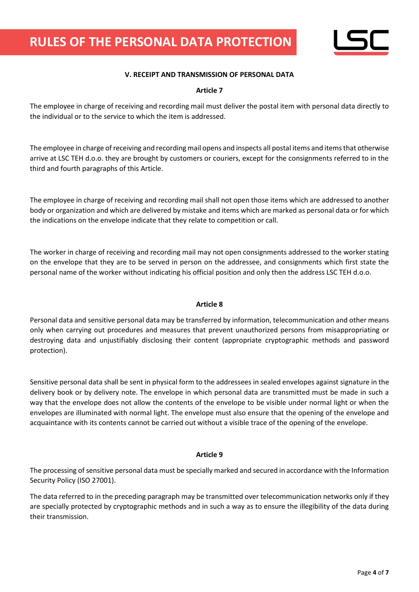

### **V. RECEIPT AND TRANSMISSION OF PERSONAL DATA**

#### **Article 7**

The employee in charge of receiving and recording mail must deliver the postal item with personal data directly to the individual or to the service to which the item is addressed.

The employee in charge of receiving and recording mail opens and inspects all postal items and items that otherwise arrive at LSC TEH d.o.o. they are brought by customers or couriers, except for the consignments referred to in the third and fourth paragraphs of this Article.

The employee in charge of receiving and recording mail shall not open those items which are addressed to another body or organization and which are delivered by mistake and items which are marked as personal data or for which the indications on the envelope indicate that they relate to competition or call.

The worker in charge of receiving and recording mail may not open consignments addressed to the worker stating on the envelope that they are to be served in person on the addressee, and consignments which first state the personal name of the worker without indicating his official position and only then the address LSC TEH d.o.o.

#### **Article 8**

Personal data and sensitive personal data may be transferred by information, telecommunication and other means only when carrying out procedures and measures that prevent unauthorized persons from misappropriating or destroying data and unjustifiably disclosing their content (appropriate cryptographic methods and password protection).

Sensitive personal data shall be sent in physical form to the addressees in sealed envelopes against signature in the delivery book or by delivery note. The envelope in which personal data are transmitted must be made in such a way that the envelope does not allow the contents of the envelope to be visible under normal light or when the envelopes are illuminated with normal light. The envelope must also ensure that the opening of the envelope and acquaintance with its contents cannot be carried out without a visible trace of the opening of the envelope.

#### **Article 9**

The processing of sensitive personal data must be specially marked and secured in accordance with the Information Security Policy (ISO 27001).

The data referred to in the preceding paragraph may be transmitted over telecommunication networks only if they are specially protected by cryptographic methods and in such a way as to ensure the illegibility of the data during their transmission.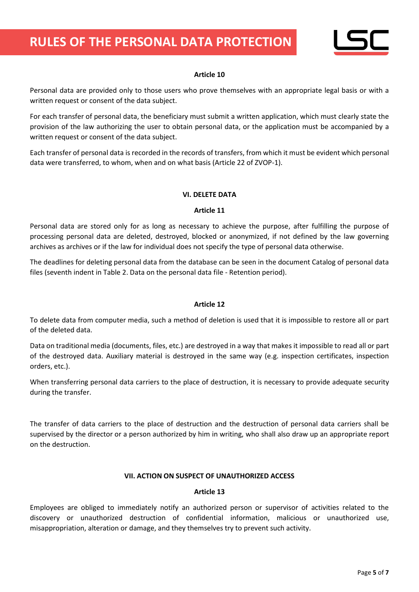

#### **Article 10**

Personal data are provided only to those users who prove themselves with an appropriate legal basis or with a written request or consent of the data subject.

For each transfer of personal data, the beneficiary must submit a written application, which must clearly state the provision of the law authorizing the user to obtain personal data, or the application must be accompanied by a written request or consent of the data subject.

Each transfer of personal data is recorded in the records of transfers, from which it must be evident which personal data were transferred, to whom, when and on what basis (Article 22 of ZVOP-1).

#### **VI. DELETE DATA**

#### **Article 11**

Personal data are stored only for as long as necessary to achieve the purpose, after fulfilling the purpose of processing personal data are deleted, destroyed, blocked or anonymized, if not defined by the law governing archives as archives or if the law for individual does not specify the type of personal data otherwise.

The deadlines for deleting personal data from the database can be seen in the document Catalog of personal data files (seventh indent in Table 2. Data on the personal data file - Retention period).

#### **Article 12**

To delete data from computer media, such a method of deletion is used that it is impossible to restore all or part of the deleted data.

Data on traditional media (documents, files, etc.) are destroyed in a way that makes it impossible to read all or part of the destroyed data. Auxiliary material is destroyed in the same way (e.g. inspection certificates, inspection orders, etc.).

When transferring personal data carriers to the place of destruction, it is necessary to provide adequate security during the transfer.

The transfer of data carriers to the place of destruction and the destruction of personal data carriers shall be supervised by the director or a person authorized by him in writing, who shall also draw up an appropriate report on the destruction.

#### **VII. ACTION ON SUSPECT OF UNAUTHORIZED ACCESS**

#### **Article 13**

Employees are obliged to immediately notify an authorized person or supervisor of activities related to the discovery or unauthorized destruction of confidential information, malicious or unauthorized use, misappropriation, alteration or damage, and they themselves try to prevent such activity.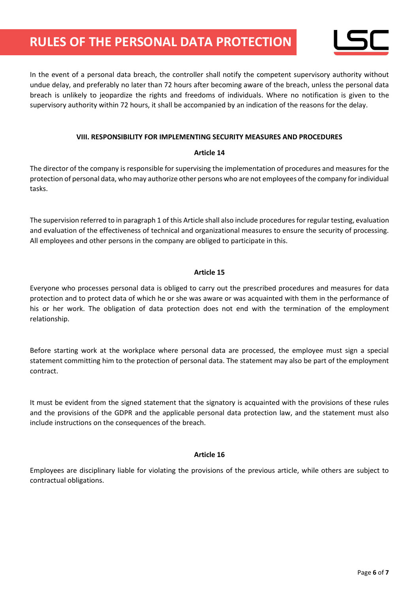

In the event of a personal data breach, the controller shall notify the competent supervisory authority without undue delay, and preferably no later than 72 hours after becoming aware of the breach, unless the personal data breach is unlikely to jeopardize the rights and freedoms of individuals. Where no notification is given to the supervisory authority within 72 hours, it shall be accompanied by an indication of the reasons for the delay.

#### **VIII. RESPONSIBILITY FOR IMPLEMENTING SECURITY MEASURES AND PROCEDURES**

#### **Article 14**

The director of the company is responsible for supervising the implementation of procedures and measures for the protection of personal data, who may authorize other persons who are not employees of the company for individual tasks.

The supervision referred to in paragraph 1 of this Article shall also include procedures for regular testing, evaluation and evaluation of the effectiveness of technical and organizational measures to ensure the security of processing. All employees and other persons in the company are obliged to participate in this.

#### **Article 15**

Everyone who processes personal data is obliged to carry out the prescribed procedures and measures for data protection and to protect data of which he or she was aware or was acquainted with them in the performance of his or her work. The obligation of data protection does not end with the termination of the employment relationship.

Before starting work at the workplace where personal data are processed, the employee must sign a special statement committing him to the protection of personal data. The statement may also be part of the employment contract.

It must be evident from the signed statement that the signatory is acquainted with the provisions of these rules and the provisions of the GDPR and the applicable personal data protection law, and the statement must also include instructions on the consequences of the breach.

#### **Article 16**

Employees are disciplinary liable for violating the provisions of the previous article, while others are subject to contractual obligations.